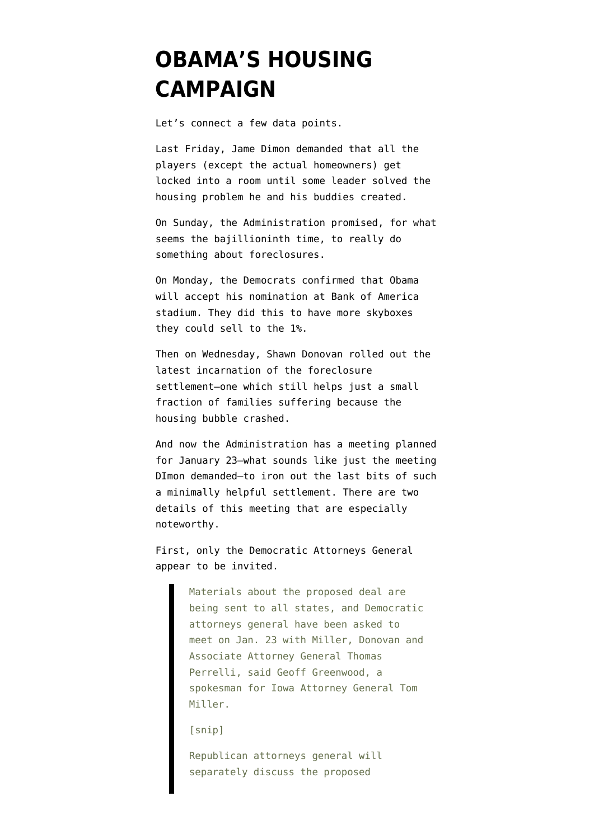## **[OBAMA'S HOUSING](https://www.emptywheel.net/2012/01/20/obamas-housing-campaign/) [CAMPAIGN](https://www.emptywheel.net/2012/01/20/obamas-housing-campaign/)**

Let's connect a few data points.

Last Friday, Jame Dimon [demanded](http://www.emptywheel.net/2012/01/15/ubercapitalist-begs-for-government-intervention/) that all the players (except the actual homeowners) get locked into a room until some leader solved the housing problem he and his buddies created.

On Sunday, the Administration [promised,](http://news.firedoglake.com/2012/01/17/administration-says-no-we-really-mean-it-this-time-on-foreclosure-mitigation/) for what seems the bajillioninth time, to really do something about foreclosures.

On Monday, the Democrats [confirmed](http://news.firedoglake.com/2012/01/17/terrible-optics-watch-obama-to-accept-dem-nomination-at-bank-of-america-stadium/) that Obama will accept his nomination at Bank of America stadium. They did this to have more skyboxes they could sell to the 1%.

Then on Wednesday, Shawn Donovan [rolled out the](http://news.firedoglake.com/2012/01/19/the-foreclosure-fraud-settlement-road-tour/) [latest incarnation](http://news.firedoglake.com/2012/01/19/the-foreclosure-fraud-settlement-road-tour/) of the foreclosure settlement–one which still helps just a small fraction of families suffering because the housing bubble crashed.

And now the Administration has [a meeting planned](http://news.businessweek.com/article.asp?documentKey=1376-LY0NPR0YHQ0X01-6HJ9DQ1M8KUJ27J2D7FAES3SH1) for January 23–what sounds like just the meeting DImon demanded–to iron out the last bits of such a minimally helpful settlement. There are two details of this meeting that are especially noteworthy.

First, only the Democratic Attorneys General appear to be invited.

> Materials about the proposed deal are being sent to all states, and Democratic attorneys general have been asked to meet on Jan. 23 with Miller, Donovan and Associate Attorney General Thomas Perrelli, said Geoff Greenwood, a spokesman for Iowa Attorney General Tom Miller.

[snip]

Republican attorneys general will separately discuss the proposed